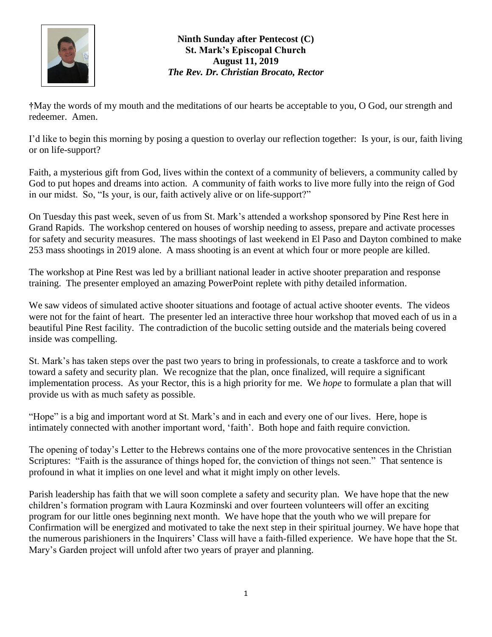

## **Ninth Sunday after Pentecost (C) St. Mark's Episcopal Church August 11, 2019** *The Rev. Dr. Christian Brocato, Rector*

**†**May the words of my mouth and the meditations of our hearts be acceptable to you, O God, our strength and redeemer. Amen.

I'd like to begin this morning by posing a question to overlay our reflection together: Is your, is our, faith living or on life-support?

Faith, a mysterious gift from God, lives within the context of a community of believers, a community called by God to put hopes and dreams into action. A community of faith works to live more fully into the reign of God in our midst. So, "Is your, is our, faith actively alive or on life-support?"

On Tuesday this past week, seven of us from St. Mark's attended a workshop sponsored by Pine Rest here in Grand Rapids. The workshop centered on houses of worship needing to assess, prepare and activate processes for safety and security measures. The mass shootings of last weekend in El Paso and Dayton combined to make 253 mass shootings in 2019 alone. A mass shooting is an event at which four or more people are killed.

The workshop at Pine Rest was led by a brilliant national leader in active shooter preparation and response training. The presenter employed an amazing PowerPoint replete with pithy detailed information.

We saw videos of simulated active shooter situations and footage of actual active shooter events. The videos were not for the faint of heart. The presenter led an interactive three hour workshop that moved each of us in a beautiful Pine Rest facility. The contradiction of the bucolic setting outside and the materials being covered inside was compelling.

St. Mark's has taken steps over the past two years to bring in professionals, to create a taskforce and to work toward a safety and security plan. We recognize that the plan, once finalized, will require a significant implementation process. As your Rector, this is a high priority for me. We *hope* to formulate a plan that will provide us with as much safety as possible.

"Hope" is a big and important word at St. Mark's and in each and every one of our lives. Here, hope is intimately connected with another important word, 'faith'. Both hope and faith require conviction.

The opening of today's Letter to the Hebrews contains one of the more provocative sentences in the Christian Scriptures: "Faith is the assurance of things hoped for, the conviction of things not seen." That sentence is profound in what it implies on one level and what it might imply on other levels.

Parish leadership has faith that we will soon complete a safety and security plan. We have hope that the new children's formation program with Laura Kozminski and over fourteen volunteers will offer an exciting program for our little ones beginning next month. We have hope that the youth who we will prepare for Confirmation will be energized and motivated to take the next step in their spiritual journey. We have hope that the numerous parishioners in the Inquirers' Class will have a faith-filled experience. We have hope that the St. Mary's Garden project will unfold after two years of prayer and planning.